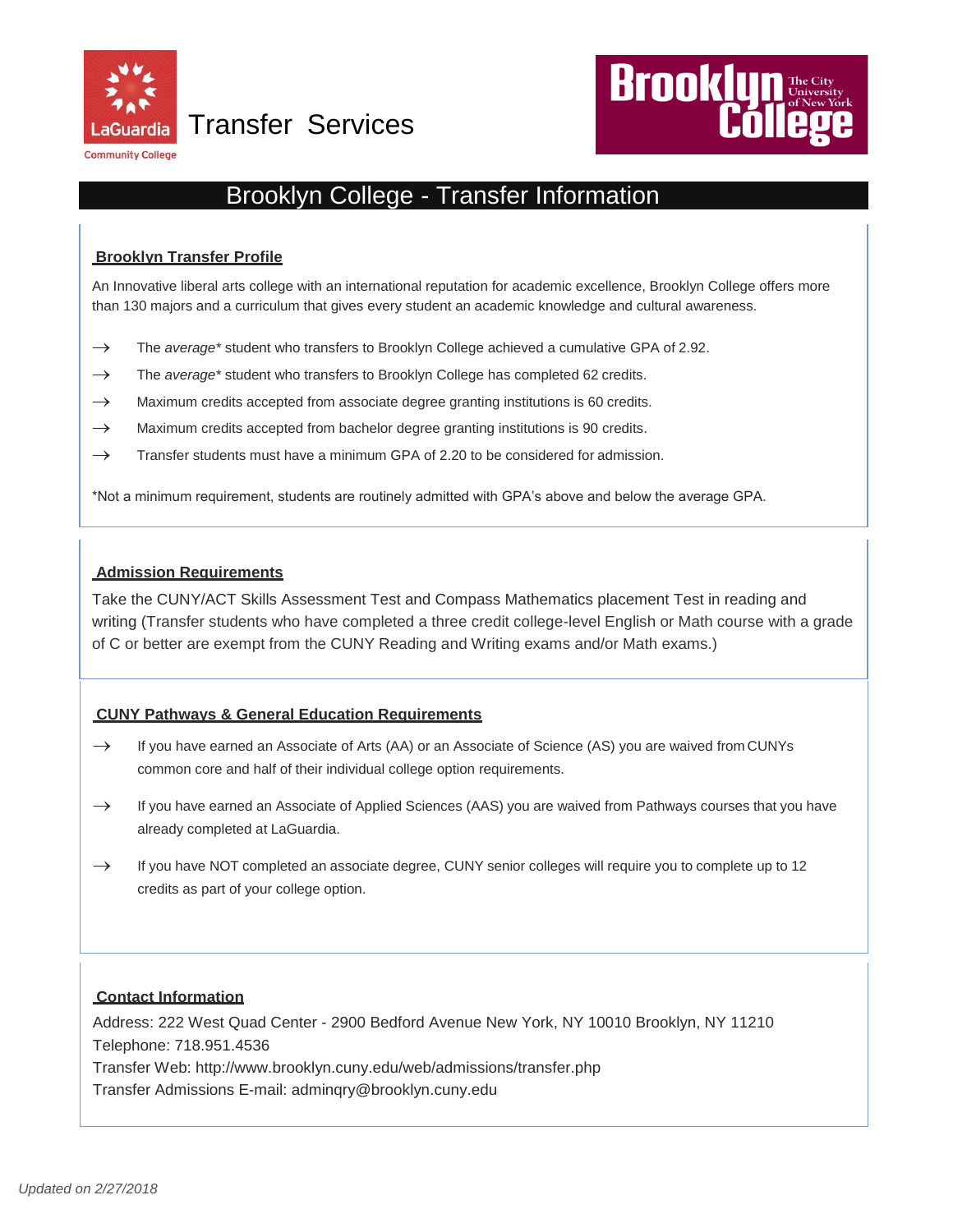

Transfer Services



# Brooklyn College - Transfer Information

# **Brooklyn Transfer Profile**

An Innovative liberal arts college with an international reputation for academic excellence, Brooklyn College offers more than 130 majors and a curriculum that gives every student an academic knowledge and cultural awareness.

- → The *average\** student who transfers to Brooklyn College achieved a cumulative GPA of 2.92.
- $\rightarrow$  The *average*\* student who transfers to Brooklyn College has completed 62 credits.
- $\rightarrow$  Maximum credits accepted from associate degree granting institutions is 60 credits.
- $\rightarrow$  Maximum credits accepted from bachelor degree granting institutions is 90 credits.
- $\rightarrow$  Transfer students must have a minimum GPA of 2.20 to be considered for admission.

\*Not a minimum requirement, students are routinely admitted with GPA's above and below the average GPA.

## **Admission Requirements**

Take the CUNY/ACT Skills Assessment Test and Compass Mathematics placement Test in reading and writing (Transfer students who have completed a three credit college-level English or Math course with a grade of C or better are exempt from the CUNY Reading and Writing exams and/or Math exams.)

## **CUNY Pathways & General Education Requirements**

- $\rightarrow$  If you have earned an Associate of Arts (AA) or an Associate of Science (AS) you are waived from CUNYs common core and half of their individual college option requirements.
- $\rightarrow$  If you have earned an Associate of Applied Sciences (AAS) you are waived from Pathways courses that you have already completed at LaGuardia.
- $\rightarrow$  If you have NOT completed an associate degree, CUNY senior colleges will require you to complete up to 12 credits as part of your college option.

# **Contact Information**

Address: 222 West Quad Center - 2900 Bedford Avenue New York, NY 10010 Brooklyn, NY 11210 Telephone: 718.951.4536

Transfer Web:<http://www.brooklyn.cuny.edu/web/admissions/transfer.php>

Transfer Admissions E-mail: [adminqry@brooklyn.cuny.edu](mailto:adminqry@brooklyn.cuny.edu)